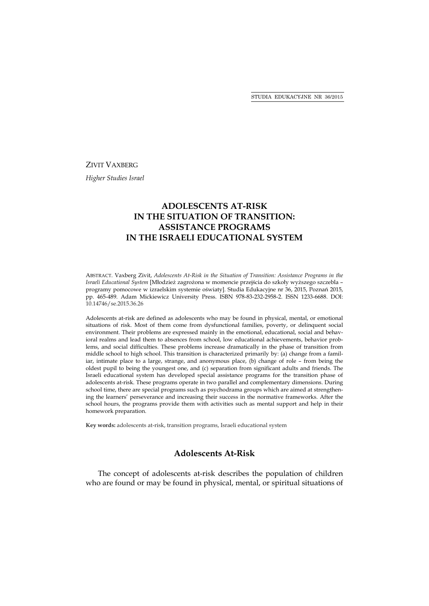#### ZIVIT VAXBERG

*Higher Studies Israel* 

# **ADOLESCENTS AT-RISK IN THE SITUATION OF TRANSITION: ASSISTANCE PROGRAMS IN THE ISRAELI EDUCATIONAL SYSTEM**

ABSTRACT. Vaxberg Zivit, *Adolescents At-Risk in the Situation of Transition: Assistance Programs in the Israeli Educational System* [Młodzież zagrożona w momencie przejścia do szkoły wyższego szczebla – programy pomocowe w izraelskim systemie oświaty]. Studia Edukacyjne nr 36, 2015, Poznań 2015, pp. 465-489. Adam Mickiewicz University Press. ISBN 978-83-232-2958-2. ISSN 1233-6688. DOI: 10.14746/se.2015.36.26

Adolescents at-risk are defined as adolescents who may be found in physical, mental, or emotional situations of risk. Most of them come from dysfunctional families, poverty, or delinquent social environment. Their problems are expressed mainly in the emotional, educational, social and behavioral realms and lead them to absences from school, low educational achievements, behavior problems, and social difficulties. These problems increase dramatically in the phase of transition from middle school to high school. This transition is characterized primarily by: (a) change from a familiar, intimate place to a large, strange, and anonymous place, (b) change of role – from being the oldest pupil to being the youngest one, and (c) separation from significant adults and friends. The Israeli educational system has developed special assistance programs for the transition phase of adolescents at-risk. These programs operate in two parallel and complementary dimensions. During school time, there are special programs such as psychodrama groups which are aimed at strengthening the learners' perseverance and increasing their success in the normative frameworks. After the school hours, the programs provide them with activities such as mental support and help in their homework preparation.

**Key words:** adolescents at-risk, transition programs, Israeli educational system

# **Adolescents At-Risk**

The concept of adolescents at-risk describes the population of children who are found or may be found in physical, mental, or spiritual situations of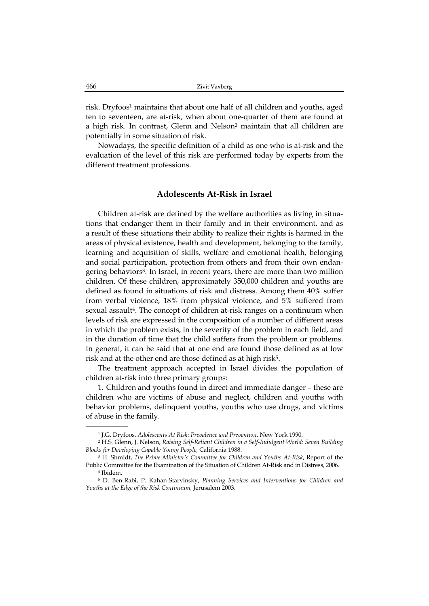risk. Dryfoos<sup>1</sup> maintains that about one half of all children and youths, aged ten to seventeen, are at-risk, when about one-quarter of them are found at a high risk. In contrast, Glenn and Nelson<sup>2</sup> maintain that all children are potentially in some situation of risk.

Nowadays, the specific definition of a child as one who is at-risk and the evaluation of the level of this risk are performed today by experts from the different treatment professions.

# **Adolescents At-Risk in Israel**

Children at-risk are defined by the welfare authorities as living in situations that endanger them in their family and in their environment, and as a result of these situations their ability to realize their rights is harmed in the areas of physical existence, health and development, belonging to the family, learning and acquisition of skills, welfare and emotional health, belonging and social participation, protection from others and from their own endangering behaviors3. In Israel, in recent years, there are more than two million children. Of these children, approximately 350,000 children and youths are defined as found in situations of risk and distress. Among them 40% suffer from verbal violence, 18% from physical violence, and 5% suffered from sexual assault4. The concept of children at-risk ranges on a continuum when levels of risk are expressed in the composition of a number of different areas in which the problem exists, in the severity of the problem in each field, and in the duration of time that the child suffers from the problem or problems. In general, it can be said that at one end are found those defined as at low risk and at the other end are those defined as at high risk<sup>5</sup>.

The treatment approach accepted in Israel divides the population of children at-risk into three primary groups:

1. Children and youths found in direct and immediate danger – these are children who are victims of abuse and neglect, children and youths with behavior problems, delinquent youths, youths who use drugs, and victims of abuse in the family.

 $\overline{\phantom{a}}$  , where the contract of the contract of the contract of the contract of the contract of the contract of the contract of the contract of the contract of the contract of the contract of the contract of the contr

<sup>1</sup> J.G. Dryfoos, *Adolescents At Risk: Prevalence and Prevention*, New York 1990.

<sup>2</sup> H.S. Glenn, J. Nelson, *Raising Self-Reliant Children in a Self-Indulgent World: Seven Building Blocks for Developing Capable Young People*, California 1988.

<sup>3</sup> H. Shmidt, *The Prime Minister's Committee for Children and Youths At-Risk*, Report of the Public Committee for the Examination of the Situation of Children At-Risk and in Distress, 2006. 4 Ibidem.

<sup>5</sup> D. Ben-Rabi, P. Kahan-Starvinsky, *Planning Services and Interventions for Children and Youths at the Edge of the Risk Continuum*, Jerusalem 2003.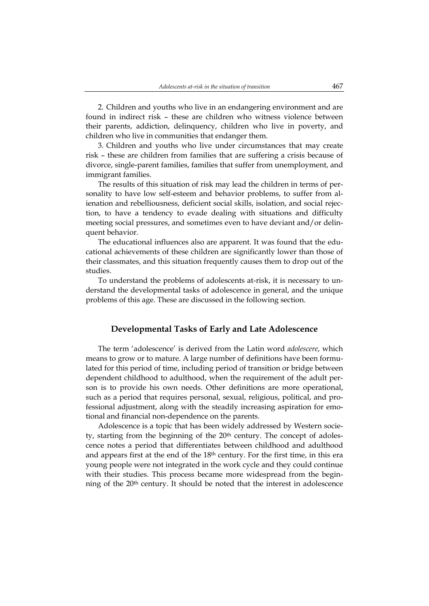2. Children and youths who live in an endangering environment and are found in indirect risk – these are children who witness violence between their parents, addiction, delinquency, children who live in poverty, and children who live in communities that endanger them.

3. Children and youths who live under circumstances that may create risk – these are children from families that are suffering a crisis because of divorce, single-parent families, families that suffer from unemployment, and immigrant families.

The results of this situation of risk may lead the children in terms of personality to have low self-esteem and behavior problems, to suffer from alienation and rebelliousness, deficient social skills, isolation, and social rejection, to have a tendency to evade dealing with situations and difficulty meeting social pressures, and sometimes even to have deviant and/or delinquent behavior.

The educational influences also are apparent. It was found that the educational achievements of these children are significantly lower than those of their classmates, and this situation frequently causes them to drop out of the studies.

To understand the problems of adolescents at-risk, it is necessary to understand the developmental tasks of adolescence in general, and the unique problems of this age. These are discussed in the following section.

# **Developmental Tasks of Early and Late Adolescence**

The term 'adolescence' is derived from the Latin word *adolescere*, which means to grow or to mature. A large number of definitions have been formulated for this period of time, including period of transition or bridge between dependent childhood to adulthood, when the requirement of the adult person is to provide his own needs. Other definitions are more operational, such as a period that requires personal, sexual, religious, political, and professional adjustment, along with the steadily increasing aspiration for emotional and financial non-dependence on the parents.

Adolescence is a topic that has been widely addressed by Western society, starting from the beginning of the  $20<sup>th</sup>$  century. The concept of adolescence notes a period that differentiates between childhood and adulthood and appears first at the end of the 18th century. For the first time, in this era young people were not integrated in the work cycle and they could continue with their studies. This process became more widespread from the beginning of the 20th century. It should be noted that the interest in adolescence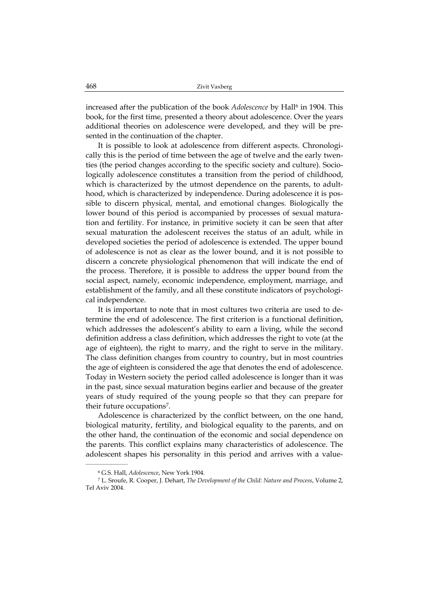increased after the publication of the book *Adolescence* by Hall<sup>6</sup> in 1904. This book, for the first time, presented a theory about adolescence. Over the years additional theories on adolescence were developed, and they will be presented in the continuation of the chapter.

It is possible to look at adolescence from different aspects. Chronologically this is the period of time between the age of twelve and the early twenties (the period changes according to the specific society and culture). Sociologically adolescence constitutes a transition from the period of childhood, which is characterized by the utmost dependence on the parents, to adulthood, which is characterized by independence. During adolescence it is possible to discern physical, mental, and emotional changes. Biologically the lower bound of this period is accompanied by processes of sexual maturation and fertility. For instance, in primitive society it can be seen that after sexual maturation the adolescent receives the status of an adult, while in developed societies the period of adolescence is extended. The upper bound of adolescence is not as clear as the lower bound, and it is not possible to discern a concrete physiological phenomenon that will indicate the end of the process. Therefore, it is possible to address the upper bound from the social aspect, namely, economic independence, employment, marriage, and establishment of the family, and all these constitute indicators of psychological independence.

It is important to note that in most cultures two criteria are used to determine the end of adolescence. The first criterion is a functional definition, which addresses the adolescent's ability to earn a living, while the second definition address a class definition, which addresses the right to vote (at the age of eighteen), the right to marry, and the right to serve in the military. The class definition changes from country to country, but in most countries the age of eighteen is considered the age that denotes the end of adolescence. Today in Western society the period called adolescence is longer than it was in the past, since sexual maturation begins earlier and because of the greater years of study required of the young people so that they can prepare for their future occupations7.

Adolescence is characterized by the conflict between, on the one hand, biological maturity, fertility, and biological equality to the parents, and on the other hand, the continuation of the economic and social dependence on the parents. This conflict explains many characteristics of adolescence. The adolescent shapes his personality in this period and arrives with a value-

<sup>6</sup> G.S. Hall, *Adolescence*, New York 1904.

<sup>7</sup> L. Sroufe, R. Cooper, J. Dehart, *The Development of the Child: Nature and Process*, Volume 2, Tel Aviv 2004.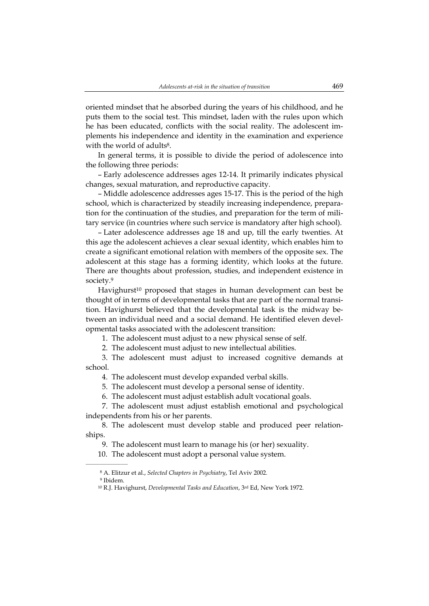oriented mindset that he absorbed during the years of his childhood, and he puts them to the social test. This mindset, laden with the rules upon which he has been educated, conflicts with the social reality. The adolescent implements his independence and identity in the examination and experience with the world of adults<sup>8</sup>.

In general terms, it is possible to divide the period of adolescence into the following three periods:

– Early adolescence addresses ages 12-14. It primarily indicates physical changes, sexual maturation, and reproductive capacity.

– Middle adolescence addresses ages 15-17. This is the period of the high school, which is characterized by steadily increasing independence, preparation for the continuation of the studies, and preparation for the term of military service (in countries where such service is mandatory after high school).

– Later adolescence addresses age 18 and up, till the early twenties. At this age the adolescent achieves a clear sexual identity, which enables him to create a significant emotional relation with members of the opposite sex. The adolescent at this stage has a forming identity, which looks at the future. There are thoughts about profession, studies, and independent existence in society.9

Havighurst<sup>10</sup> proposed that stages in human development can best be thought of in terms of developmental tasks that are part of the normal transition. Havighurst believed that the developmental task is the midway between an individual need and a social demand. He identified eleven developmental tasks associated with the adolescent transition:

1. The adolescent must adjust to a new physical sense of self.

2. The adolescent must adjust to new intellectual abilities.

3. The adolescent must adjust to increased cognitive demands at school.

4. The adolescent must develop expanded verbal skills.

5. The adolescent must develop a personal sense of identity.

6. The adolescent must adjust establish adult vocational goals.

7. The adolescent must adjust establish emotional and psychological independents from his or her parents.

8. The adolescent must develop stable and produced peer relationships.

9. The adolescent must learn to manage his (or her) sexuality.

10. The adolescent must adopt a personal value system.

<sup>8</sup> A. Elitzur et al., *Selected Chapters in Psychiatry*, Tel Aviv 2002.

<sup>9</sup> Ibidem.

<sup>10</sup> R.J. Havighurst, *Developmental Tasks and Education*, 3rd Ed, New York 1972.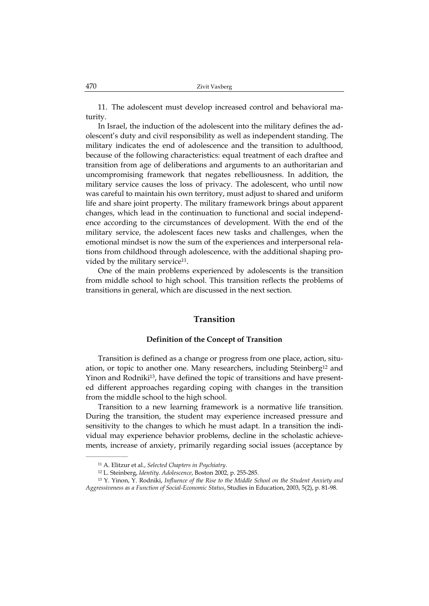11. The adolescent must develop increased control and behavioral maturity.

In Israel, the induction of the adolescent into the military defines the adolescent's duty and civil responsibility as well as independent standing. The military indicates the end of adolescence and the transition to adulthood, because of the following characteristics: equal treatment of each draftee and transition from age of deliberations and arguments to an authoritarian and uncompromising framework that negates rebelliousness. In addition, the military service causes the loss of privacy. The adolescent, who until now was careful to maintain his own territory, must adjust to shared and uniform life and share joint property. The military framework brings about apparent changes, which lead in the continuation to functional and social independence according to the circumstances of development. With the end of the military service, the adolescent faces new tasks and challenges, when the emotional mindset is now the sum of the experiences and interpersonal relations from childhood through adolescence, with the additional shaping provided by the military service<sup>11</sup>.

One of the main problems experienced by adolescents is the transition from middle school to high school. This transition reflects the problems of transitions in general, which are discussed in the next section.

# **Transition**

### **Definition of the Concept of Transition**

Transition is defined as a change or progress from one place, action, situation, or topic to another one. Many researchers, including Steinberg12 and Yinon and Rodniki13, have defined the topic of transitions and have presented different approaches regarding coping with changes in the transition from the middle school to the high school.

Transition to a new learning framework is a normative life transition. During the transition, the student may experience increased pressure and sensitivity to the changes to which he must adapt. In a transition the individual may experience behavior problems, decline in the scholastic achievements, increase of anxiety, primarily regarding social issues (acceptance by

<sup>11</sup> A. Elitzur et al., *Selected Chapters in Psychiatry*.

<sup>12</sup> L. Steinberg, *Identity. Adolescence*, Boston 2002, p. 255-285.

<sup>13</sup> Y. Yinon, Y. Rodniki, *Influence of the Rise to the Middle School on the Student Anxiety and Aggressiveness as a Function of Social-Economic Status*, Studies in Education, 2003, 5(2), p. 81-98.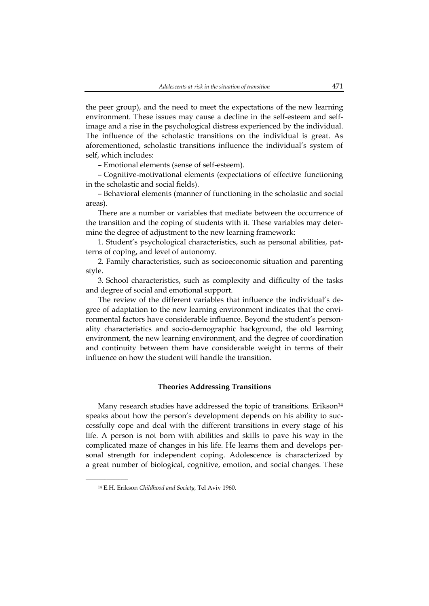the peer group), and the need to meet the expectations of the new learning environment. These issues may cause a decline in the self-esteem and selfimage and a rise in the psychological distress experienced by the individual. The influence of the scholastic transitions on the individual is great. As aforementioned, scholastic transitions influence the individual's system of self, which includes:

– Emotional elements (sense of self-esteem).

– Cognitive-motivational elements (expectations of effective functioning in the scholastic and social fields).

– Behavioral elements (manner of functioning in the scholastic and social areas).

There are a number or variables that mediate between the occurrence of the transition and the coping of students with it. These variables may determine the degree of adjustment to the new learning framework:

1. Student's psychological characteristics, such as personal abilities, patterns of coping, and level of autonomy.

2. Family characteristics, such as socioeconomic situation and parenting style.

3. School characteristics, such as complexity and difficulty of the tasks and degree of social and emotional support.

The review of the different variables that influence the individual's degree of adaptation to the new learning environment indicates that the environmental factors have considerable influence. Beyond the student's personality characteristics and socio-demographic background, the old learning environment, the new learning environment, and the degree of coordination and continuity between them have considerable weight in terms of their influence on how the student will handle the transition.

# **Theories Addressing Transitions**

Many research studies have addressed the topic of transitions. Erikson<sup>14</sup> speaks about how the person's development depends on his ability to successfully cope and deal with the different transitions in every stage of his life. A person is not born with abilities and skills to pave his way in the complicated maze of changes in his life. He learns them and develops personal strength for independent coping. Adolescence is characterized by a great number of biological, cognitive, emotion, and social changes. These

 $\overline{\phantom{a}}$  , where the contract of the contract of the contract of the contract of the contract of the contract of the contract of the contract of the contract of the contract of the contract of the contract of the contr

<sup>14</sup> E.H. Erikson *Childhood and Society*, Tel Aviv 1960.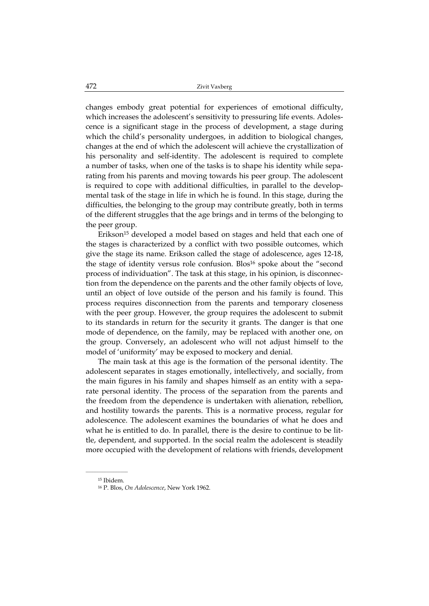changes embody great potential for experiences of emotional difficulty, which increases the adolescent's sensitivity to pressuring life events. Adolescence is a significant stage in the process of development, a stage during which the child's personality undergoes, in addition to biological changes, changes at the end of which the adolescent will achieve the crystallization of his personality and self-identity. The adolescent is required to complete a number of tasks, when one of the tasks is to shape his identity while separating from his parents and moving towards his peer group. The adolescent is required to cope with additional difficulties, in parallel to the developmental task of the stage in life in which he is found. In this stage, during the difficulties, the belonging to the group may contribute greatly, both in terms of the different struggles that the age brings and in terms of the belonging to the peer group.

Erikson<sup>15</sup> developed a model based on stages and held that each one of the stages is characterized by a conflict with two possible outcomes, which give the stage its name. Erikson called the stage of adolescence, ages 12-18, the stage of identity versus role confusion. Blos<sup>16</sup> spoke about the "second process of individuation". The task at this stage, in his opinion, is disconnection from the dependence on the parents and the other family objects of love, until an object of love outside of the person and his family is found. This process requires disconnection from the parents and temporary closeness with the peer group. However, the group requires the adolescent to submit to its standards in return for the security it grants. The danger is that one mode of dependence, on the family, may be replaced with another one, on the group. Conversely, an adolescent who will not adjust himself to the model of 'uniformity' may be exposed to mockery and denial.

The main task at this age is the formation of the personal identity. The adolescent separates in stages emotionally, intellectively, and socially, from the main figures in his family and shapes himself as an entity with a separate personal identity. The process of the separation from the parents and the freedom from the dependence is undertaken with alienation, rebellion, and hostility towards the parents. This is a normative process, regular for adolescence. The adolescent examines the boundaries of what he does and what he is entitled to do. In parallel, there is the desire to continue to be little, dependent, and supported. In the social realm the adolescent is steadily more occupied with the development of relations with friends, development

 $\overline{\phantom{a}}$  , where the contract of the contract of the contract of the contract of the contract of the contract of the contract of the contract of the contract of the contract of the contract of the contract of the contr 15 Ibidem.

<sup>16</sup> P. Blos, *On Adolescence*, New York 1962.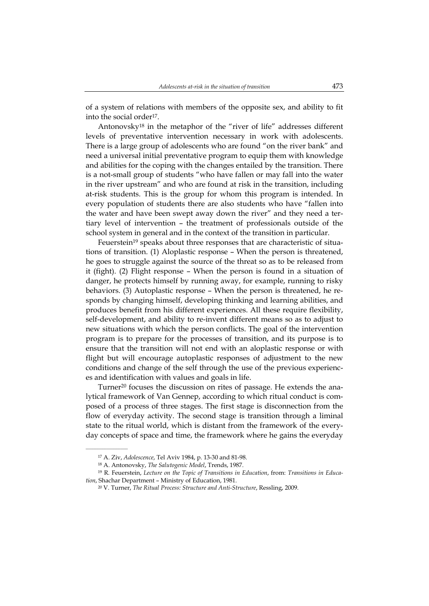of a system of relations with members of the opposite sex, and ability to fit into the social order<sup>17</sup>.

Antonovsky18 in the metaphor of the "river of life" addresses different levels of preventative intervention necessary in work with adolescents. There is a large group of adolescents who are found "on the river bank" and need a universal initial preventative program to equip them with knowledge and abilities for the coping with the changes entailed by the transition. There is a not-small group of students "who have fallen or may fall into the water in the river upstream" and who are found at risk in the transition, including at-risk students. This is the group for whom this program is intended. In every population of students there are also students who have "fallen into the water and have been swept away down the river" and they need a tertiary level of intervention – the treatment of professionals outside of the school system in general and in the context of the transition in particular.

Feuerstein<sup>19</sup> speaks about three responses that are characteristic of situations of transition. (1) Aloplastic response – When the person is threatened, he goes to struggle against the source of the threat so as to be released from it (fight). (2) Flight response – When the person is found in a situation of danger, he protects himself by running away, for example, running to risky behaviors. (3) Autoplastic response – When the person is threatened, he responds by changing himself, developing thinking and learning abilities, and produces benefit from his different experiences. All these require flexibility, self-development, and ability to re-invent different means so as to adjust to new situations with which the person conflicts. The goal of the intervention program is to prepare for the processes of transition, and its purpose is to ensure that the transition will not end with an aloplastic response or with flight but will encourage autoplastic responses of adjustment to the new conditions and change of the self through the use of the previous experiences and identification with values and goals in life.

Turner<sup>20</sup> focuses the discussion on rites of passage. He extends the analytical framework of Van Gennep, according to which ritual conduct is composed of a process of three stages. The first stage is disconnection from the flow of everyday activity. The second stage is transition through a liminal state to the ritual world, which is distant from the framework of the everyday concepts of space and time, the framework where he gains the everyday

<sup>17</sup> A. Ziv, *Adolescence*, Tel Aviv 1984, p. 13-30 and 81-98.

<sup>18</sup> A. Antonovsky, *The Salutogenic Model*, Trends, 1987.

<sup>19</sup> R. Feuerstein, *Lecture on the Topic of Transitions in Education*, from: *Transitions in Education*, Shachar Department – Ministry of Education, 1981.

<sup>20</sup> V. Turner, *The Ritual Process: Structure and Anti-Structure*, Ressling, 2009.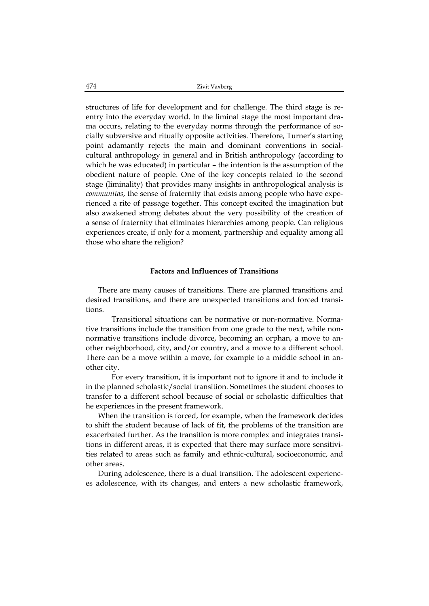structures of life for development and for challenge. The third stage is reentry into the everyday world. In the liminal stage the most important drama occurs, relating to the everyday norms through the performance of socially subversive and ritually opposite activities. Therefore, Turner's starting point adamantly rejects the main and dominant conventions in socialcultural anthropology in general and in British anthropology (according to which he was educated) in particular – the intention is the assumption of the obedient nature of people. One of the key concepts related to the second stage (liminality) that provides many insights in anthropological analysis is *communitas*, the sense of fraternity that exists among people who have experienced a rite of passage together. This concept excited the imagination but also awakened strong debates about the very possibility of the creation of a sense of fraternity that eliminates hierarchies among people. Can religious experiences create, if only for a moment, partnership and equality among all those who share the religion?

# **Factors and Influences of Transitions**

There are many causes of transitions. There are planned transitions and desired transitions, and there are unexpected transitions and forced transitions.

 Transitional situations can be normative or non-normative. Normative transitions include the transition from one grade to the next, while nonnormative transitions include divorce, becoming an orphan, a move to another neighborhood, city, and/or country, and a move to a different school. There can be a move within a move, for example to a middle school in another city.

 For every transition, it is important not to ignore it and to include it in the planned scholastic/social transition. Sometimes the student chooses to transfer to a different school because of social or scholastic difficulties that he experiences in the present framework.

When the transition is forced, for example, when the framework decides to shift the student because of lack of fit, the problems of the transition are exacerbated further. As the transition is more complex and integrates transitions in different areas, it is expected that there may surface more sensitivities related to areas such as family and ethnic-cultural, socioeconomic, and other areas.

During adolescence, there is a dual transition. The adolescent experiences adolescence, with its changes, and enters a new scholastic framework,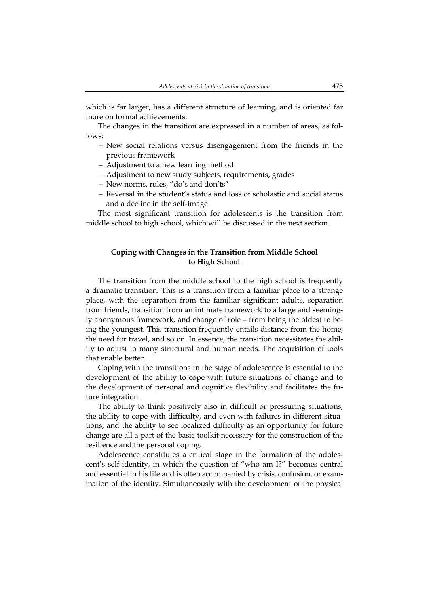which is far larger, has a different structure of learning, and is oriented far more on formal achievements.

The changes in the transition are expressed in a number of areas, as follows:

- New social relations versus disengagement from the friends in the previous framework
- Adjustment to a new learning method
- Adjustment to new study subjects, requirements, grades
- New norms, rules, "do's and don'ts"
- Reversal in the student's status and loss of scholastic and social status and a decline in the self-image

The most significant transition for adolescents is the transition from middle school to high school, which will be discussed in the next section.

# **Coping with Changes in the Transition from Middle School to High School**

The transition from the middle school to the high school is frequently a dramatic transition. This is a transition from a familiar place to a strange place, with the separation from the familiar significant adults, separation from friends, transition from an intimate framework to a large and seemingly anonymous framework, and change of role – from being the oldest to being the youngest. This transition frequently entails distance from the home, the need for travel, and so on. In essence, the transition necessitates the ability to adjust to many structural and human needs. The acquisition of tools that enable better

Coping with the transitions in the stage of adolescence is essential to the development of the ability to cope with future situations of change and to the development of personal and cognitive flexibility and facilitates the future integration.

The ability to think positively also in difficult or pressuring situations, the ability to cope with difficulty, and even with failures in different situations, and the ability to see localized difficulty as an opportunity for future change are all a part of the basic toolkit necessary for the construction of the resilience and the personal coping.

Adolescence constitutes a critical stage in the formation of the adolescent's self-identity, in which the question of "who am I?" becomes central and essential in his life and is often accompanied by crisis, confusion, or examination of the identity. Simultaneously with the development of the physical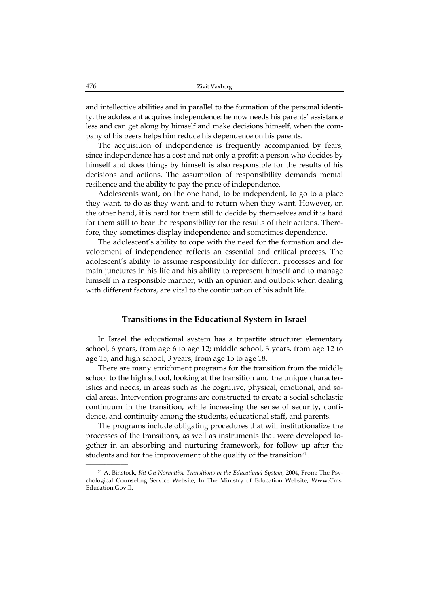and intellective abilities and in parallel to the formation of the personal identity, the adolescent acquires independence: he now needs his parents' assistance less and can get along by himself and make decisions himself, when the company of his peers helps him reduce his dependence on his parents.

The acquisition of independence is frequently accompanied by fears, since independence has a cost and not only a profit: a person who decides by himself and does things by himself is also responsible for the results of his decisions and actions. The assumption of responsibility demands mental resilience and the ability to pay the price of independence.

Adolescents want, on the one hand, to be independent, to go to a place they want, to do as they want, and to return when they want. However, on the other hand, it is hard for them still to decide by themselves and it is hard for them still to bear the responsibility for the results of their actions. Therefore, they sometimes display independence and sometimes dependence.

The adolescent's ability to cope with the need for the formation and development of independence reflects an essential and critical process. The adolescent's ability to assume responsibility for different processes and for main junctures in his life and his ability to represent himself and to manage himself in a responsible manner, with an opinion and outlook when dealing with different factors, are vital to the continuation of his adult life.

# **Transitions in the Educational System in Israel**

In Israel the educational system has a tripartite structure: elementary school, 6 years, from age 6 to age 12; middle school, 3 years, from age 12 to age 15; and high school, 3 years, from age 15 to age 18.

There are many enrichment programs for the transition from the middle school to the high school, looking at the transition and the unique characteristics and needs, in areas such as the cognitive, physical, emotional, and social areas. Intervention programs are constructed to create a social scholastic continuum in the transition, while increasing the sense of security, confidence, and continuity among the students, educational staff, and parents.

The programs include obligating procedures that will institutionalize the processes of the transitions, as well as instruments that were developed together in an absorbing and nurturing framework, for follow up after the students and for the improvement of the quality of the transition<sup>21</sup>.

<sup>21</sup> A. Binstock, *Kit On Normative Transitions in the Educational System*, 2004, From: The Psychological Counseling Service Website, In The Ministry of Education Website, Www.Cms. Education.Gov.Il.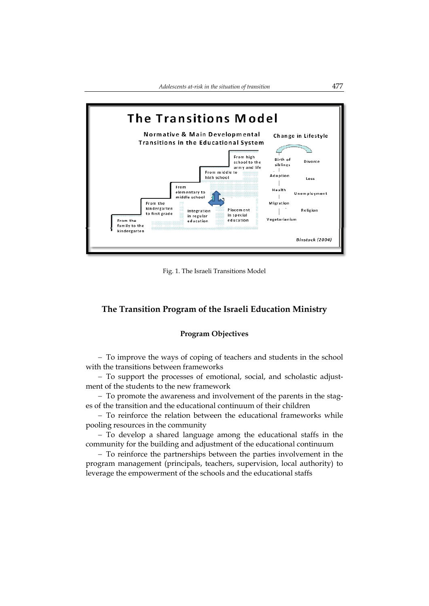

Fig. 1. The Israeli Transitions Model

# **The Transition Program of the Israeli Education Ministry**

# **Program Objectives**

 To improve the ways of coping of teachers and students in the school with the transitions between frameworks

 To support the processes of emotional, social, and scholastic adjustment of the students to the new framework

- To promote the awareness and involvement of the parents in the stages of the transition and the educational continuum of their children

 $-$  To reinforce the relation between the educational frameworks while pooling resources in the community

- To develop a shared language among the educational staffs in the community for the building and adjustment of the educational continuum

 To reinforce the partnerships between the parties involvement in the program management (principals, teachers, supervision, local authority) to leverage the empowerment of the schools and the educational staffs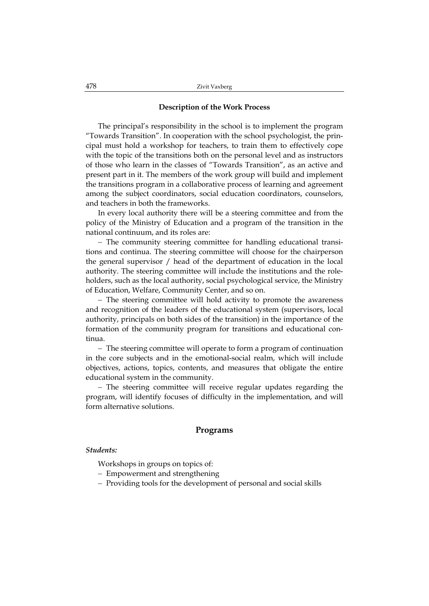### **Description of the Work Process**

The principal's responsibility in the school is to implement the program "Towards Transition". In cooperation with the school psychologist, the principal must hold a workshop for teachers, to train them to effectively cope with the topic of the transitions both on the personal level and as instructors of those who learn in the classes of "Towards Transition", as an active and present part in it. The members of the work group will build and implement the transitions program in a collaborative process of learning and agreement among the subject coordinators, social education coordinators, counselors, and teachers in both the frameworks.

In every local authority there will be a steering committee and from the policy of the Ministry of Education and a program of the transition in the national continuum, and its roles are:

 The community steering committee for handling educational transitions and continua. The steering committee will choose for the chairperson the general supervisor / head of the department of education in the local authority. The steering committee will include the institutions and the roleholders, such as the local authority, social psychological service, the Ministry of Education, Welfare, Community Center, and so on.

 The steering committee will hold activity to promote the awareness and recognition of the leaders of the educational system (supervisors, local authority, principals on both sides of the transition) in the importance of the formation of the community program for transitions and educational continua.

- The steering committee will operate to form a program of continuation in the core subjects and in the emotional-social realm, which will include objectives, actions, topics, contents, and measures that obligate the entire educational system in the community.

 The steering committee will receive regular updates regarding the program, will identify focuses of difficulty in the implementation, and will form alternative solutions.

# **Programs**

#### *Students:*

Workshops in groups on topics of:

- Empowerment and strengthening
- Providing tools for the development of personal and social skills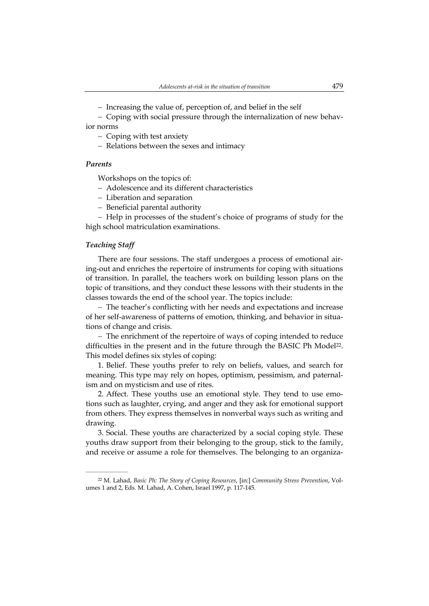- Increasing the value of, perception of, and belief in the self

 Coping with social pressure through the internalization of new behavior norms

- Coping with test anxiety
- Relations between the sexes and intimacy

### *Parents*

Workshops on the topics of:

- Adolescence and its different characteristics
- Liberation and separation
- Beneficial parental authority

- Help in processes of the student's choice of programs of study for the high school matriculation examinations.

## *Teaching Staff*

 $\overline{\phantom{a}}$  , where the contract of the contract of the contract of the contract of the contract of the contract of the contract of the contract of the contract of the contract of the contract of the contract of the contr

There are four sessions. The staff undergoes a process of emotional airing-out and enriches the repertoire of instruments for coping with situations of transition. In parallel, the teachers work on building lesson plans on the topic of transitions, and they conduct these lessons with their students in the classes towards the end of the school year. The topics include:

 The teacher's conflicting with her needs and expectations and increase of her self-awareness of patterns of emotion, thinking, and behavior in situations of change and crisis.

 The enrichment of the repertoire of ways of coping intended to reduce difficulties in the present and in the future through the BASIC Ph Model22. This model defines six styles of coping:

1. Belief. These youths prefer to rely on beliefs, values, and search for meaning. This type may rely on hopes, optimism, pessimism, and paternalism and on mysticism and use of rites.

2. Affect. These youths use an emotional style. They tend to use emotions such as laughter, crying, and anger and they ask for emotional support from others. They express themselves in nonverbal ways such as writing and drawing.

3. Social. These youths are characterized by a social coping style. These youths draw support from their belonging to the group, stick to the family, and receive or assume a role for themselves. The belonging to an organiza-

<sup>22</sup> M. Lahad, *Basic Ph: The Story of Coping Resources*, [in:] *Community Stress Prevention*, Volumes 1 and 2, Eds. M. Lahad, A. Cohen, Israel 1997, p. 117-145.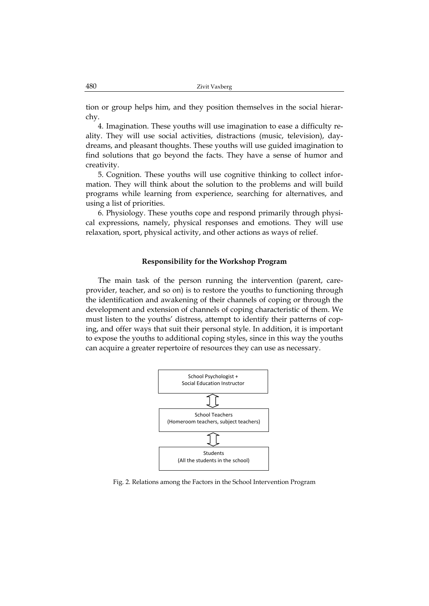tion or group helps him, and they position themselves in the social hierarchy.

4. Imagination. These youths will use imagination to ease a difficulty reality. They will use social activities, distractions (music, television), daydreams, and pleasant thoughts. These youths will use guided imagination to find solutions that go beyond the facts. They have a sense of humor and creativity.

5. Cognition. These youths will use cognitive thinking to collect information. They will think about the solution to the problems and will build programs while learning from experience, searching for alternatives, and using a list of priorities.

6. Physiology. These youths cope and respond primarily through physical expressions, namely, physical responses and emotions. They will use relaxation, sport, physical activity, and other actions as ways of relief.

#### **Responsibility for the Workshop Program**

The main task of the person running the intervention (parent, careprovider, teacher, and so on) is to restore the youths to functioning through the identification and awakening of their channels of coping or through the development and extension of channels of coping characteristic of them. We must listen to the youths' distress, attempt to identify their patterns of coping, and offer ways that suit their personal style. In addition, it is important to expose the youths to additional coping styles, since in this way the youths can acquire a greater repertoire of resources they can use as necessary.



Fig. 2. Relations among the Factors in the School Intervention Program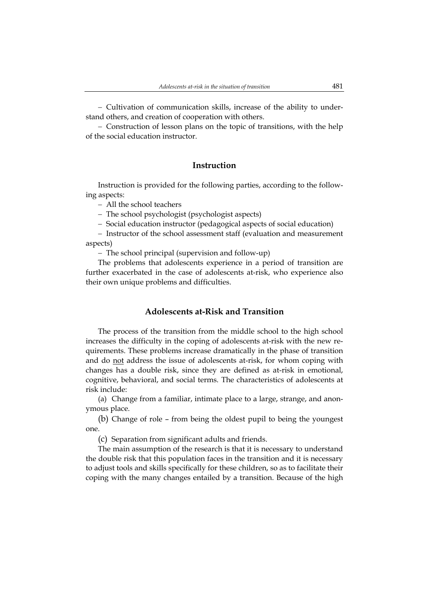Cultivation of communication skills, increase of the ability to understand others, and creation of cooperation with others.

 Construction of lesson plans on the topic of transitions, with the help of the social education instructor.

# **Instruction**

Instruction is provided for the following parties, according to the following aspects:

All the school teachers

- The school psychologist (psychologist aspects)
- Social education instructor (pedagogical aspects of social education)

- Instructor of the school assessment staff (evaluation and measurement aspects)

The school principal (supervision and follow-up)

The problems that adolescents experience in a period of transition are further exacerbated in the case of adolescents at-risk, who experience also their own unique problems and difficulties.

# **Adolescents at-Risk and Transition**

The process of the transition from the middle school to the high school increases the difficulty in the coping of adolescents at-risk with the new requirements. These problems increase dramatically in the phase of transition and do <u>not</u> address the issue of adolescents at-risk, for whom coping with changes has a double risk, since they are defined as at-risk in emotional, cognitive, behavioral, and social terms. The characteristics of adolescents at risk include:

(a) Change from a familiar, intimate place to a large, strange, and anonymous place.

(b) Change of role – from being the oldest pupil to being the youngest one.

(c) Separation from significant adults and friends.

The main assumption of the research is that it is necessary to understand the double risk that this population faces in the transition and it is necessary to adjust tools and skills specifically for these children, so as to facilitate their coping with the many changes entailed by a transition. Because of the high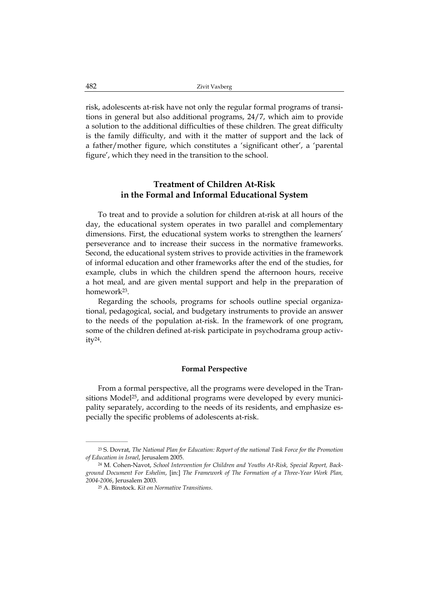risk, adolescents at-risk have not only the regular formal programs of transitions in general but also additional programs, 24/7, which aim to provide a solution to the additional difficulties of these children. The great difficulty is the family difficulty, and with it the matter of support and the lack of a father/mother figure, which constitutes a 'significant other', a 'parental figure', which they need in the transition to the school.

# **Treatment of Children At-Risk in the Formal and Informal Educational System**

To treat and to provide a solution for children at-risk at all hours of the day, the educational system operates in two parallel and complementary dimensions. First, the educational system works to strengthen the learners' perseverance and to increase their success in the normative frameworks. Second, the educational system strives to provide activities in the framework of informal education and other frameworks after the end of the studies, for example, clubs in which the children spend the afternoon hours, receive a hot meal, and are given mental support and help in the preparation of homework23.

Regarding the schools, programs for schools outline special organizational, pedagogical, social, and budgetary instruments to provide an answer to the needs of the population at-risk. In the framework of one program, some of the children defined at-risk participate in psychodrama group activity24.

## **Formal Perspective**

From a formal perspective, all the programs were developed in the Transitions Model<sup>25</sup>, and additional programs were developed by every municipality separately, according to the needs of its residents, and emphasize especially the specific problems of adolescents at-risk.

<sup>23</sup> S. Dovrat, *The National Plan for Education: Report of the national Task Force for the Promotion of Education in Israel*, Jerusalem 2005.

<sup>24</sup> M. Cohen-Navot, *School Intervention for Children and Youths At-Risk, Special Report, Background Document For Eshelim*, [in:] *The Framework of The Formation of a Three-Year Work Plan, 2004-2006*, Jerusalem 2003.

<sup>25</sup> A. Binstock. *Kit on Normative Transitions*.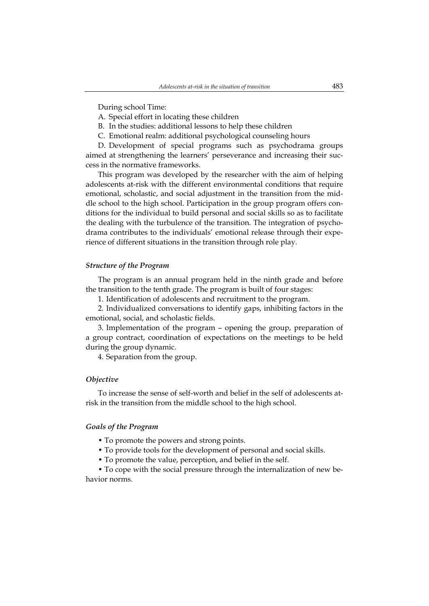During school Time:

- A. Special effort in locating these children
- B. In the studies: additional lessons to help these children
- C. Emotional realm: additional psychological counseling hours

D. Development of special programs such as psychodrama groups aimed at strengthening the learners' perseverance and increasing their success in the normative frameworks.

This program was developed by the researcher with the aim of helping adolescents at-risk with the different environmental conditions that require emotional, scholastic, and social adjustment in the transition from the middle school to the high school. Participation in the group program offers conditions for the individual to build personal and social skills so as to facilitate the dealing with the turbulence of the transition. The integration of psychodrama contributes to the individuals' emotional release through their experience of different situations in the transition through role play.

## *Structure of the Program*

The program is an annual program held in the ninth grade and before the transition to the tenth grade. The program is built of four stages:

1. Identification of adolescents and recruitment to the program.

2. Individualized conversations to identify gaps, inhibiting factors in the emotional, social, and scholastic fields.

3. Implementation of the program – opening the group, preparation of a group contract, coordination of expectations on the meetings to be held during the group dynamic.

4. Separation from the group.

### *Objective*

To increase the sense of self-worth and belief in the self of adolescents atrisk in the transition from the middle school to the high school.

### *Goals of the Program*

- To promote the powers and strong points.
- To provide tools for the development of personal and social skills.
- To promote the value, perception, and belief in the self.

• To cope with the social pressure through the internalization of new behavior norms.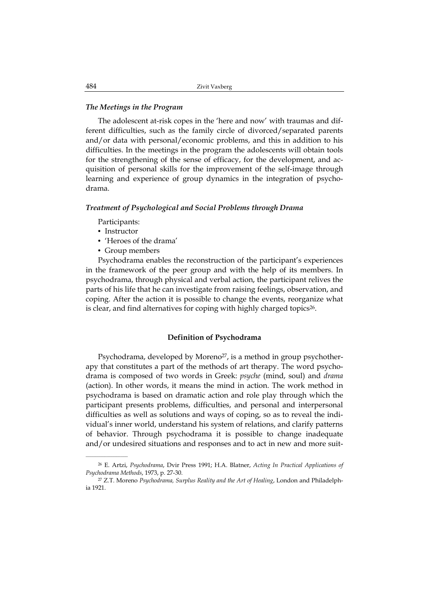## *The Meetings in the Program*

The adolescent at-risk copes in the 'here and now' with traumas and different difficulties, such as the family circle of divorced/separated parents and/or data with personal/economic problems, and this in addition to his difficulties. In the meetings in the program the adolescents will obtain tools for the strengthening of the sense of efficacy, for the development, and acquisition of personal skills for the improvement of the self-image through learning and experience of group dynamics in the integration of psychodrama.

### *Treatment of Psychological and Social Problems through Drama*

Participants:

• Instructor

\_\_\_\_\_\_\_\_\_\_\_\_\_\_\_\_\_\_

- 'Heroes of the drama'
- Group members

Psychodrama enables the reconstruction of the participant's experiences in the framework of the peer group and with the help of its members. In psychodrama, through physical and verbal action, the participant relives the parts of his life that he can investigate from raising feelings, observation, and coping. After the action it is possible to change the events, reorganize what is clear, and find alternatives for coping with highly charged topics26.

## **Definition of Psychodrama**

Psychodrama, developed by Moreno<sup>27</sup>, is a method in group psychotherapy that constitutes a part of the methods of art therapy. The word psychodrama is composed of two words in Greek: *psyche* (mind, soul) and *drama* (action). In other words, it means the mind in action. The work method in psychodrama is based on dramatic action and role play through which the participant presents problems, difficulties, and personal and interpersonal difficulties as well as solutions and ways of coping, so as to reveal the individual's inner world, understand his system of relations, and clarify patterns of behavior. Through psychodrama it is possible to change inadequate and/or undesired situations and responses and to act in new and more suit-

<sup>26</sup> E. Artzi, *Psychodrama*, Dvir Press 1991; H.A. Blatner, *Acting In Practical Applications of Psychodrama Methods*, 1973, p. 27-30.

<sup>27</sup> Z.T. Moreno *Psychodrama, Surplus Reality and the Art of Healing*, London and Philadelphia 1921.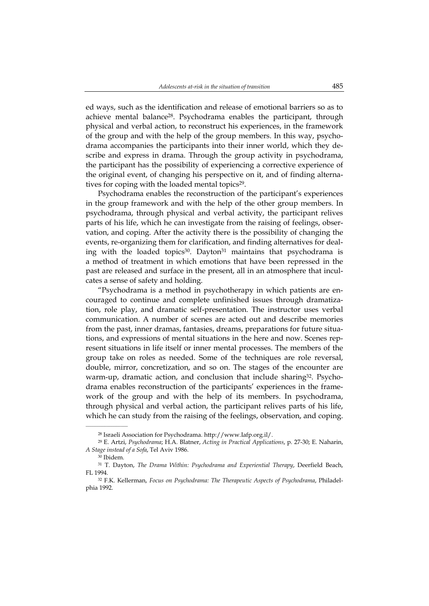ed ways, such as the identification and release of emotional barriers so as to achieve mental balance28. Psychodrama enables the participant, through physical and verbal action, to reconstruct his experiences, in the framework of the group and with the help of the group members. In this way, psychodrama accompanies the participants into their inner world, which they describe and express in drama. Through the group activity in psychodrama, the participant has the possibility of experiencing a corrective experience of the original event, of changing his perspective on it, and of finding alternatives for coping with the loaded mental topics<sup>29</sup>.

Psychodrama enables the reconstruction of the participant's experiences in the group framework and with the help of the other group members. In psychodrama, through physical and verbal activity, the participant relives parts of his life, which he can investigate from the raising of feelings, observation, and coping. After the activity there is the possibility of changing the events, re-organizing them for clarification, and finding alternatives for dealing with the loaded topics<sup>30</sup>. Dayton<sup>31</sup> maintains that psychodrama is a method of treatment in which emotions that have been repressed in the past are released and surface in the present, all in an atmosphere that inculcates a sense of safety and holding.

"Psychodrama is a method in psychotherapy in which patients are encouraged to continue and complete unfinished issues through dramatization, role play, and dramatic self-presentation. The instructor uses verbal communication. A number of scenes are acted out and describe memories from the past, inner dramas, fantasies, dreams, preparations for future situations, and expressions of mental situations in the here and now. Scenes represent situations in life itself or inner mental processes. The members of the group take on roles as needed. Some of the techniques are role reversal, double, mirror, concretization, and so on. The stages of the encounter are warm-up, dramatic action, and conclusion that include sharing<sup>32</sup>. Psychodrama enables reconstruction of the participants' experiences in the framework of the group and with the help of its members. In psychodrama, through physical and verbal action, the participant relives parts of his life, which he can study from the raising of the feelings, observation, and coping.

 $\overline{\phantom{a}}$  , where the contract of the contract of the contract of the contract of the contract of the contract of the contract of the contract of the contract of the contract of the contract of the contract of the contr

<sup>28</sup> Israeli Association for Psychodrama. http://www.Iafp.org.il/.

<sup>29</sup> E. Artzi, *Psychodrama*; H.A. Blatner, *Acting in Practical Applications*, p. 27-30; E. Naharin, *A Stage instead of a Sofa*, Tel Aviv 1986.

<sup>30</sup> Ibidem.

<sup>31</sup> T. Dayton, *The Drama Within: Psychodrama and Experiential Therapy*, Deerfield Beach, FL 1994.

<sup>32</sup> F.K. Kellerman, *Focus on Psychodrama: The Therapeutic Aspects of Psychodrama*, Philadelphia 1992.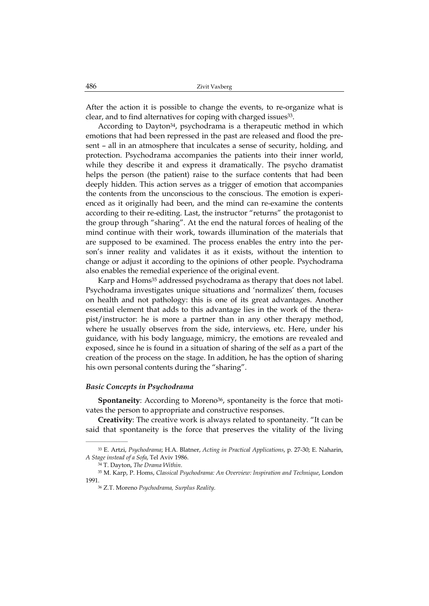After the action it is possible to change the events, to re-organize what is clear, and to find alternatives for coping with charged issues<sup>33</sup>.

According to Dayton<sup>34</sup>, psychodrama is a therapeutic method in which emotions that had been repressed in the past are released and flood the present – all in an atmosphere that inculcates a sense of security, holding, and protection. Psychodrama accompanies the patients into their inner world, while they describe it and express it dramatically. The psycho dramatist helps the person (the patient) raise to the surface contents that had been deeply hidden. This action serves as a trigger of emotion that accompanies the contents from the unconscious to the conscious. The emotion is experienced as it originally had been, and the mind can re-examine the contents according to their re-editing. Last, the instructor "returns" the protagonist to the group through "sharing". At the end the natural forces of healing of the mind continue with their work, towards illumination of the materials that are supposed to be examined. The process enables the entry into the person's inner reality and validates it as it exists, without the intention to change or adjust it according to the opinions of other people. Psychodrama also enables the remedial experience of the original event.

Karp and Homs<sup>35</sup> addressed psychodrama as therapy that does not label. Psychodrama investigates unique situations and 'normalizes' them, focuses on health and not pathology: this is one of its great advantages. Another essential element that adds to this advantage lies in the work of the therapist/instructor: he is more a partner than in any other therapy method, where he usually observes from the side, interviews, etc. Here, under his guidance, with his body language, mimicry, the emotions are revealed and exposed, since he is found in a situation of sharing of the self as a part of the creation of the process on the stage. In addition, he has the option of sharing his own personal contents during the "sharing".

#### *Basic Concepts in Psychodrama*

**Spontaneity**: According to Moreno<sup>36</sup>, spontaneity is the force that motivates the person to appropriate and constructive responses.

**Creativity**: The creative work is always related to spontaneity. "It can be said that spontaneity is the force that preserves the vitality of the living

<sup>33</sup> E. Artzi, *Psychodrama*; H.A. Blatner, *Acting in Practical Applications*, p. 27-30; E. Naharin, *A Stage instead of a Sofa*, Tel Aviv 1986.

<sup>34</sup> T. Dayton, *The Drama Within*.

<sup>35</sup> M. Karp, P. Homs, *Classical Psychodrama: An Overview: Inspiration and Technique*, London 1991.

<sup>36</sup> Z.T. Moreno *Psychodrama, Surplus Reality*.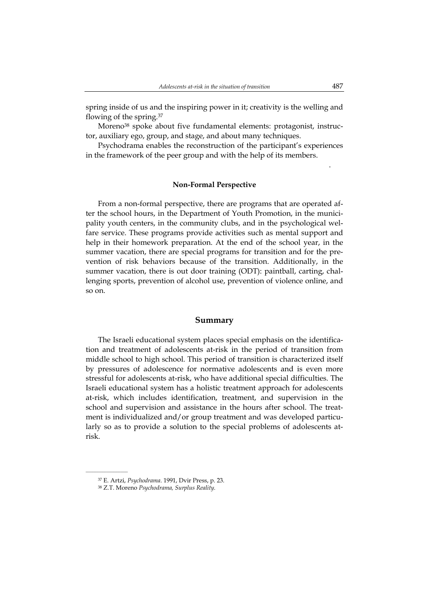spring inside of us and the inspiring power in it; creativity is the welling and flowing of the spring.37

Moreno<sup>38</sup> spoke about five fundamental elements: protagonist, instructor, auxiliary ego, group, and stage, and about many techniques.

Psychodrama enables the reconstruction of the participant's experiences in the framework of the peer group and with the help of its members.

#### **Non-Formal Perspective**

From a non-formal perspective, there are programs that are operated after the school hours, in the Department of Youth Promotion, in the municipality youth centers, in the community clubs, and in the psychological welfare service. These programs provide activities such as mental support and help in their homework preparation. At the end of the school year, in the summer vacation, there are special programs for transition and for the prevention of risk behaviors because of the transition. Additionally, in the summer vacation, there is out door training (ODT): paintball, carting, challenging sports, prevention of alcohol use, prevention of violence online, and so on.

#### **Summary**

The Israeli educational system places special emphasis on the identification and treatment of adolescents at-risk in the period of transition from middle school to high school. This period of transition is characterized itself by pressures of adolescence for normative adolescents and is even more stressful for adolescents at-risk, who have additional special difficulties. The Israeli educational system has a holistic treatment approach for adolescents at-risk, which includes identification, treatment, and supervision in the school and supervision and assistance in the hours after school. The treatment is individualized and/or group treatment and was developed particularly so as to provide a solution to the special problems of adolescents atrisk.

 $\overline{\phantom{a}}$  , where the contract of the contract of the contract of the contract of the contract of the contract of the contract of the contract of the contract of the contract of the contract of the contract of the contr

.

<sup>37</sup> E. Artzi, *Psychodrama*. 1991, Dvir Press, p. 23.

<sup>38</sup> Z.T. Moreno *Psychodrama, Surplus Reality*.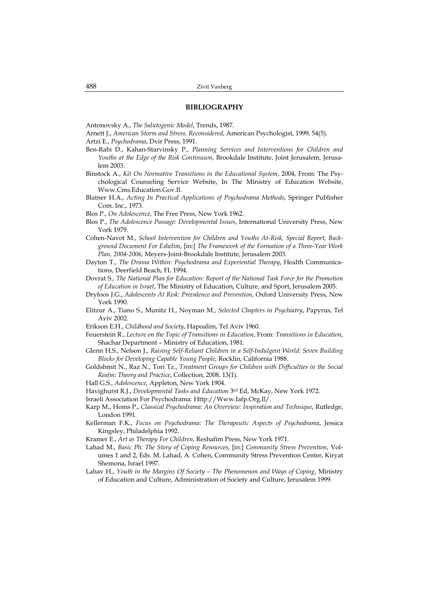#### **BIBLIOGRAPHY**

Antonovsky A., *The Salutogenic Model*, Trends, 1987.

Arnett J., *American Storm and Stress, Reconsidered*, American Psychologist, 1999, 54(5).

Artzi E., *Psychodrama*, Dvir Press, 1991.

- Ben-Rabi D., Kahan-Starvinsky P., *Planning Services and Interventions for Children and Youths at the Edge of the Risk Continuum*, Brookdale Institute, Joint Jerusalem, Jerusalem 2003.
- Binstock A., *Kit On Normative Transitions in the Educational System*, 2004, From: The Psychological Counseling Service Website, In The Ministry of Education Website, Www.Cms.Education.Gov.Il.
- Blatner H.A., *Acting In Practical Applications of Psychodrama Methods*, Springer Publisher Com. Inc., 1973.
- Blos P., *On Adolescence*, The Free Press, New York 1962.
- Blos P., *The Adolescence Passage: Developmental Issues*, International University Press, New York 1979.
- Cohen-Navot M., *School Intervention for Children and Youths At-Risk, Special Report, Background Document For Eshelim*, [in:] *The Framework of the Formation of a Three-Year Work Plan, 2004-2006*, Meyers-Joint-Brookdale Institute, Jerusalem 2003.
- Dayton T., *The Drama Within: Psychodrama and Experiential Therapy*, Health Communications, Deerfield Beach, FL 1994.
- Dovrat S., *The National Plan for Education: Report of the National Task Force for the Promotion of Education in Israel*, The Ministry of Education, Culture, and Sport, Jerusalem 2005.
- Dryfoos J.G., *Adolescents At Risk: Prevalence and Prevention*, Oxford University Press, New York 1990.
- Elitzur A., Tiano S., Munitz H., Noyman M., *Selected Chapters in Psychiatry*, Papyrus, Tel Aviv 2002.
- Erikson E.H., *Childhood and Society*, Hapoalim, Tel Aviv 1960.
- Feuerstein R., *Lecture on the Topic of Transitions in Education*, From: *Transitions in Education*, Shachar Department – Ministry of Education, 1981.
- Glenn H.S., Nelson J., *Raising Self-Reliant Children in a Self-Indulgent World: Seven Building Blocks for Developing Capable Young People*, Rocklin, California 1988.
- Goldshmit N., Raz N., Tori Tz., *Treatment Groups for Children with Difficulties in the Social Realm: Theory and Practice*, Collection, 2008, 13(1).
- Hall G.S., *Adolescence*, Appleton, New York 1904.
- Havighurst R.J., *Developmental Tasks and Education* 3rd Ed, McKay, New York 1972.

Israeli Association For Psychodrama: Http://Www.Iafp.Org.Il/.

- Karp M., Homs P., *Classical Psychodrama: An Overview: Inspiration and Technique*, Rutledge, London 1991.
- Kellerman F.K., *Focus on Psychodrama: The Therapeutic Aspects of Psychodrama*, Jessica Kingsley, Philadelphia 1992.
- Kramer E., *Art as Therapy For Children*, Reshafim Press, New York 1971.
- Lahad M., *Basic Ph: The Story of Coping Resources*, [in:] *Community Stress Prevention*, Volumes 1 and 2, Eds. M. Lahad, A. Cohen, Community Stress Prevention Center, Kiryat Shemona, Israel 1997.
- Lahav H., *Youth in the Margins Of Society The Phenomenon and Ways of Coping*, Ministry of Education and Culture, Administration of Society and Culture, Jerusalem 1999.